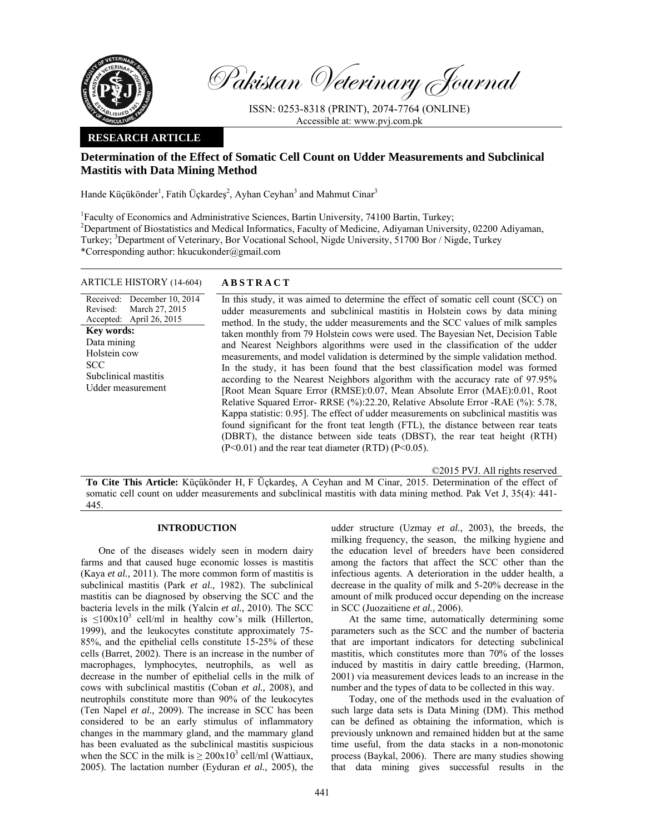

Pakistan Veterinary Journal

ISSN: 0253-8318 (PRINT), 2074-7764 (ONLINE) Accessible at: www.pvj.com.pk

# **RESEARCH ARTICLE**

# **Determination of the Effect of Somatic Cell Count on Udder Measurements and Subclinical Mastitis with Data Mining Method**

Hande Küçükönder<sup>1</sup>, Fatih Üçkardeş<sup>2</sup>, Ayhan Ceyhan<sup>3</sup> and Mahmut Cinar<sup>3</sup>

<sup>1</sup>Faculty of Economics and Administrative Sciences, Bartin University, 74100 Bartin, Turkey; <sup>2</sup>Department of Biostatistics and Medical Informatics, Faculty of Medicine, Adiyaman University, 02200 Adiyaman, Turkey; <sup>3</sup>Department of Veterinary, Bor Vocational School, Nigde University, 51700 Bor / Nigde, Turkey \*Corresponding author: hkucukonder@gmail.com

# ARTICLE HISTORY (14-604) **ABSTRACT**

Received: Revised: Accepted: December 10, 2014 March 27, 2015 April 26, 2015 **Key words:**  Data mining Holstein cow **SCC** Subclinical mastitis Udder measurement

 In this study, it was aimed to determine the effect of somatic cell count (SCC) on udder measurements and subclinical mastitis in Holstein cows by data mining method. In the study, the udder measurements and the SCC values of milk samples taken monthly from 79 Holstein cows were used. The Bayesian Net, Decision Table and Nearest Neighbors algorithms were used in the classification of the udder measurements, and model validation is determined by the simple validation method. In the study, it has been found that the best classification model was formed according to the Nearest Neighbors algorithm with the accuracy rate of 97.95% [Root Mean Square Error (RMSE):0.07, Mean Absolute Error (MAE):0.01, Root Relative Squared Error- RRSE (%):22.20, Relative Absolute Error -RAE (%): 5.78, Kappa statistic: 0.95]. The effect of udder measurements on subclinical mastitis was found significant for the front teat length (FTL), the distance between rear teats (DBRT), the distance between side teats (DBST), the rear teat height (RTH)  $(P<0.01)$  and the rear teat diameter  $(RTD)$   $(P<0.05)$ .

©2015 PVJ. All rights reserved

**To Cite This Article:** Küçükönder H, F Üçkardeş, A Ceyhan and M Cinar, 2015. Determination of the effect of somatic cell count on udder measurements and subclinical mastitis with data mining method. Pak Vet J, 35(4): 441-445.

### **INTRODUCTION**

One of the diseases widely seen in modern dairy farms and that caused huge economic losses is mastitis (Kaya *et al.,* 2011). The more common form of mastitis is subclinical mastitis (Park *et al.,* 1982). The subclinical mastitis can be diagnosed by observing the SCC and the bacteria levels in the milk (Yalcin *et al.,* 2010). The SCC is  $\leq 100 \times 10^3$  cell/ml in healthy cow's milk (Hillerton, 1999), and the leukocytes constitute approximately 75- 85%, and the epithelial cells constitute 15-25% of these cells (Barret, 2002). There is an increase in the number of macrophages, lymphocytes, neutrophils, as well as decrease in the number of epithelial cells in the milk of cows with subclinical mastitis (Coban *et al.,* 2008), and neutrophils constitute more than 90% of the leukocytes (Ten Napel *et al.,* 2009). The increase in SCC has been considered to be an early stimulus of inflammatory changes in the mammary gland, and the mammary gland has been evaluated as the subclinical mastitis suspicious when the SCC in the milk is  $\geq 200 \times 10^3$  cell/ml (Wattiaux, 2005). The lactation number (Eyduran *et al.,* 2005), the

udder structure (Uzmay *et al.,* 2003), the breeds, the milking frequency, the season, the milking hygiene and the education level of breeders have been considered among the factors that affect the SCC other than the infectious agents. A deterioration in the udder health, a decrease in the quality of milk and 5-20% decrease in the amount of milk produced occur depending on the increase in SCC (Juozaitiene *et al.,* 2006).

At the same time, automatically determining some parameters such as the SCC and the number of bacteria that are important indicators for detecting subclinical mastitis, which constitutes more than 70% of the losses induced by mastitis in dairy cattle breeding, (Harmon, 2001) via measurement devices leads to an increase in the number and the types of data to be collected in this way.

Today, one of the methods used in the evaluation of such large data sets is Data Mining (DM). This method can be defined as obtaining the information, which is previously unknown and remained hidden but at the same time useful, from the data stacks in a non-monotonic process (Baykal, 2006). There are many studies showing that data mining gives successful results in the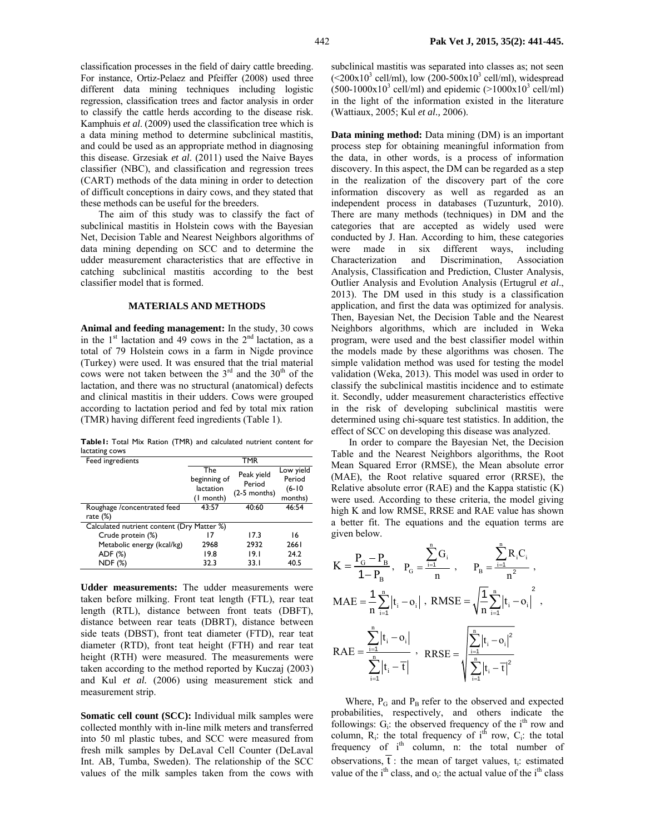classification processes in the field of dairy cattle breeding. For instance, Ortiz-Pelaez and Pfeiffer (2008) used three different data mining techniques including logistic regression, classification trees and factor analysis in order to classify the cattle herds according to the disease risk. Kamphuis *et al*. (2009) used the classification tree which is a data mining method to determine subclinical mastitis, and could be used as an appropriate method in diagnosing this disease. Grzesiak *et al*. (2011) used the Naive Bayes classifier (NBC), and classification and regression trees (CART) methods of the data mining in order to detection of difficult conceptions in dairy cows, and they stated that these methods can be useful for the breeders.

The aim of this study was to classify the fact of subclinical mastitis in Holstein cows with the Bayesian Net, Decision Table and Nearest Neighbors algorithms of data mining depending on SCC and to determine the udder measurement characteristics that are effective in catching subclinical mastitis according to the best classifier model that is formed.

# **MATERIALS AND METHODS**

**Animal and feeding management:** In the study, 30 cows in the  $1<sup>st</sup>$  lactation and 49 cows in the  $2<sup>nd</sup>$  lactation, as a total of 79 Holstein cows in a farm in Nigde province (Turkey) were used. It was ensured that the trial material cows were not taken between the  $3<sup>rd</sup>$  and the  $30<sup>th</sup>$  of the lactation, and there was no structural (anatomical) defects and clinical mastitis in their udders. Cows were grouped according to lactation period and fed by total mix ration (TMR) having different feed ingredients (Table 1).

**Table1:** Total Mix Ration (TMR) and calculated nutrient content for lactating cows

| Feed ingredients                           | <b>TMR</b>   |                                        |           |  |  |
|--------------------------------------------|--------------|----------------------------------------|-----------|--|--|
|                                            | The          | Peak yield<br>Period<br>$(2-5$ months) | Low yield |  |  |
|                                            | beginning of |                                        | Period    |  |  |
|                                            | lactation    |                                        | $(6-10)$  |  |  |
|                                            | (1 month)    |                                        | months)   |  |  |
| Roughage /concentrated feed                | 43:57        | 40:60                                  | 46:54     |  |  |
| rate $(\%)$                                |              |                                        |           |  |  |
| Calculated nutrient content (Dry Matter %) |              |                                        |           |  |  |
| Crude protein (%)                          |              | 17.3                                   | 16        |  |  |
| Metabolic energy (kcal/kg)                 | 2968         | 2932                                   | 2661      |  |  |
| ADF (%)                                    | 19.8         | 19.1                                   | 24.2      |  |  |
| <b>NDF</b> (%)                             | 32.3         | 33.I                                   | 40.5      |  |  |

**Udder measurements:** The udder measurements were taken before milking. Front teat length (FTL), rear teat length (RTL), distance between front teats (DBFT), distance between rear teats (DBRT), distance between side teats (DBST), front teat diameter (FTD), rear teat diameter (RTD), front teat height (FTH) and rear teat height (RTH) were measured. The measurements were taken according to the method reported by Kuczaj (2003) and Kul *et al.* (2006) using measurement stick and measurement strip.

**Somatic cell count (SCC):** Individual milk samples were collected monthly with in-line milk meters and transferred into 50 ml plastic tubes, and SCC were measured from fresh milk samples by DeLaval Cell Counter (DeLaval Int. AB, Tumba, Sweden). The relationship of the SCC values of the milk samples taken from the cows with

subclinical mastitis was separated into classes as; not seen  $(<200x10^3$  cell/ml), low  $(200-500x10^3$  cell/ml), widespread  $(500-1000 \times 10^{3} \text{ cell/ml})$  and epidemic  $(>1000 \times 10^{3} \text{ cell/ml})$ in the light of the information existed in the literature (Wattiaux, 2005; Kul *et al.,* 2006).

**Data mining method:** Data mining (DM) is an important process step for obtaining meaningful information from the data, in other words, is a process of information discovery. In this aspect, the DM can be regarded as a step in the realization of the discovery part of the core information discovery as well as regarded as an independent process in databases (Tuzunturk, 2010). There are many methods (techniques) in DM and the categories that are accepted as widely used were conducted by J. Han. According to him, these categories were made in six different ways, including Characterization and Discrimination, Association Analysis, Classification and Prediction, Cluster Analysis, Outlier Analysis and Evolution Analysis (Ertugrul *et al*., 2013). The DM used in this study is a classification application, and first the data was optimized for analysis. Then, Bayesian Net, the Decision Table and the Nearest Neighbors algorithms, which are included in Weka program, were used and the best classifier model within the models made by these algorithms was chosen. The simple validation method was used for testing the model validation (Weka, 2013). This model was used in order to classify the subclinical mastitis incidence and to estimate it. Secondly, udder measurement characteristics effective in the risk of developing subclinical mastitis were determined using chi-square test statistics. In addition, the effect of SCC on developing this disease was analyzed.

In order to compare the Bayesian Net, the Decision Table and the Nearest Neighbors algorithms, the Root Mean Squared Error (RMSE), the Mean absolute error (MAE), the Root relative squared error (RRSE), the Relative absolute error (RAE) and the Kappa statistic (K) were used. According to these criteria, the model giving high K and low RMSE, RRSE and RAE value has shown a better fit. The equations and the equation terms are given below.

$$
K = \frac{P_{G} - P_{B}}{1 - P_{B}}, \quad P_{G} = \frac{\sum_{i=1}^{n} G_{i}}{n}, \qquad P_{B} = \frac{\sum_{i=1}^{n} R_{i} C_{i}}{n^{2}},
$$
  
\n
$$
MAE = \frac{1}{n} \sum_{i=1}^{n} |t_{i} - o_{i}|, \quad RMSE = \sqrt{\frac{1}{n} \sum_{i=1}^{n} |t_{i} - o_{i}|^{2}},
$$
  
\n
$$
RAE = \frac{\sum_{i=1}^{n} |t_{i} - o_{i}|}{\sum_{i=1}^{n} |t_{i} - \overline{t}|}, \quad RRSE = \sqrt{\frac{\sum_{i=1}^{n} |t_{i} - o_{i}|^{2}}{\sum_{i=1}^{n} |t_{i} - \overline{t}|^{2}}}
$$

Where,  $P_G$  and  $P_B$  refer to the observed and expected probabilities, respectively, and others indicate the followings:  $G_i$ : the observed frequency of the i<sup>th</sup> row and column,  $R_i$ : the total frequency of  $i^{th}$  row,  $C_i$ : the total frequency of  $i<sup>th</sup>$  column, n: the total number of observations,  $\overline{t}$ : the mean of target values, t<sub>i</sub>: estimated value of the  $i<sup>th</sup>$  class, and  $o_i$ : the actual value of the  $i<sup>th</sup>$  class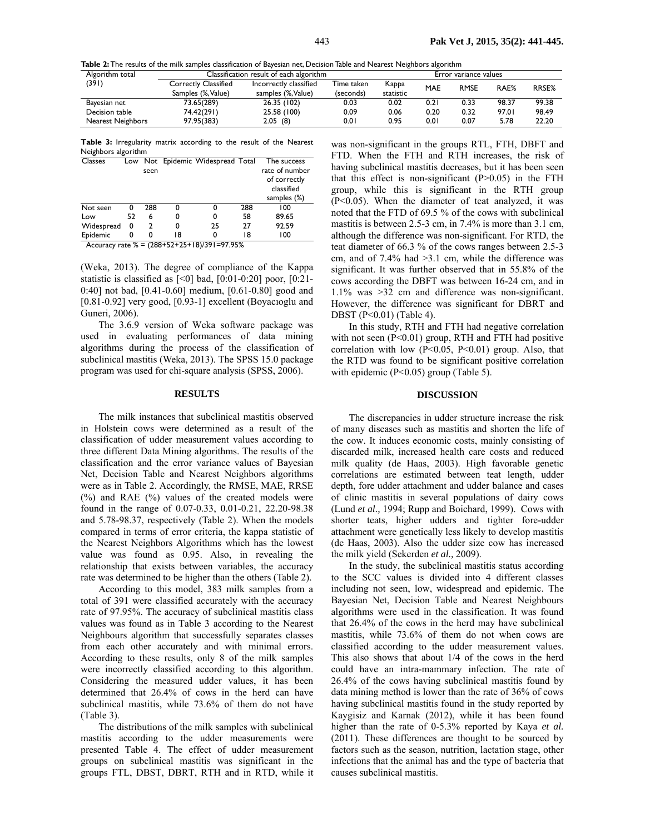**Table 2:** The results of the milk samples classification of Bayesian net, Decision Table and Nearest Neighbors algorithm

| Algorithm total          | Classification result of each algorithm |                        |            | Error variance values |                            |      |       |       |
|--------------------------|-----------------------------------------|------------------------|------------|-----------------------|----------------------------|------|-------|-------|
| (391)                    | <b>Correctly Classified</b>             | Incorrectly classified | Time taken | Kappa                 | MAE<br>RAE%<br><b>RMSE</b> |      | RRSE% |       |
|                          | Samples (%, Value)                      | samples (%, Value)     | (seconds)  | statistic             |                            |      |       |       |
| Bayesian net             | 73.65(289)                              | 26.35 (102)            | 0.03       | 0.02                  | 0.21                       | 0.33 | 98.37 | 99.38 |
| Decision table           | 74.42(291)                              | 25.58 (100)            | 0.09       | 0.06                  | 0.20                       | 0.32 | 97.01 | 98.49 |
| <b>Nearest Neighbors</b> | 97.95(383)                              | 2.05(8)                | 0.01       | 0.95                  | 0.01                       | 0.07 | 5.78  | 22.20 |

**Table 3:** Irregularity matrix according to the result of the Nearest Neighbors algorithm

| <b>Classes</b> |                                                                                                                                                                                                                                                                                |      |    | Low Not Epidemic Widespread Total |     | The success    |  |
|----------------|--------------------------------------------------------------------------------------------------------------------------------------------------------------------------------------------------------------------------------------------------------------------------------|------|----|-----------------------------------|-----|----------------|--|
|                |                                                                                                                                                                                                                                                                                | seen |    |                                   |     | rate of number |  |
|                |                                                                                                                                                                                                                                                                                |      |    |                                   |     | of correctly   |  |
|                |                                                                                                                                                                                                                                                                                |      |    |                                   |     | classified     |  |
|                |                                                                                                                                                                                                                                                                                |      |    |                                   |     | samples (%)    |  |
| Not seen       | 0                                                                                                                                                                                                                                                                              | 288  | 0  |                                   | 288 | 100            |  |
| Low            | 52                                                                                                                                                                                                                                                                             | 6    | 0  | 0                                 | 58  | 89.65          |  |
| Widespread     | 0                                                                                                                                                                                                                                                                              | 2    | 0  | 25                                | 27  | 92.59          |  |
| Epidemic       | 0                                                                                                                                                                                                                                                                              | 0    | 18 | 0                                 | 18  | 100            |  |
| $\blacksquare$ | $(0.001, 0.01, 0.01, 0.01, 0.01, 0.01, 0.01, 0.01, 0.01, 0.01, 0.01, 0.01, 0.01, 0.01, 0.01, 0.01, 0.01, 0.01, 0.01, 0.01, 0.01, 0.01, 0.01, 0.01, 0.01, 0.01, 0.01, 0.01, 0.01, 0.01, 0.01, 0.01, 0.01, 0.01, 0.01, 0.01, 0.$<br>$\sim$<br>$\sim$ $\sim$ $\sim$ $\sim$ $\sim$ |      |    |                                   |     |                |  |

Accuracy rate % = (288+52+25+18)/391=97.95%

(Weka, 2013). The degree of compliance of the Kappa statistic is classified as  $[<0]$  bad,  $[0:01-0:20]$  poor,  $[0:21-$ 0:40] not bad, [0.41-0.60] medium, [0.61-0.80] good and [0.81-0.92] very good, [0.93-1] excellent (Boyacıoglu and Guneri, 2006).

The 3.6.9 version of Weka software package was used in evaluating performances of data mining algorithms during the process of the classification of subclinical mastitis (Weka, 2013). The SPSS 15.0 package program was used for chi-square analysis (SPSS, 2006).

# **RESULTS**

The milk instances that subclinical mastitis observed in Holstein cows were determined as a result of the classification of udder measurement values according to three different Data Mining algorithms. The results of the classification and the error variance values of Bayesian Net, Decision Table and Nearest Neighbors algorithms were as in Table 2. Accordingly, the RMSE, MAE, RRSE (%) and RAE (%) values of the created models were found in the range of 0.07-0.33, 0.01-0.21, 22.20-98.38 and 5.78-98.37, respectively (Table 2). When the models compared in terms of error criteria, the kappa statistic of the Nearest Neighbors Algorithms which has the lowest value was found as 0.95. Also, in revealing the relationship that exists between variables, the accuracy rate was determined to be higher than the others (Table 2).

According to this model, 383 milk samples from a total of 391 were classified accurately with the accuracy rate of 97.95%. The accuracy of subclinical mastitis class values was found as in Table 3 according to the Nearest Neighbours algorithm that successfully separates classes from each other accurately and with minimal errors. According to these results, only 8 of the milk samples were incorrectly classified according to this algorithm. Considering the measured udder values, it has been determined that 26.4% of cows in the herd can have subclinical mastitis, while 73.6% of them do not have (Table 3).

The distributions of the milk samples with subclinical mastitis according to the udder measurements were presented Table 4. The effect of udder measurement groups on subclinical mastitis was significant in the groups FTL, DBST, DBRT, RTH and in RTD, while it

was non-significant in the groups RTL, FTH, DBFT and FTD. When the FTH and RTH increases, the risk of having subclinical mastitis decreases, but it has been seen that this effect is non-significant  $(P>0.05)$  in the FTH group, while this is significant in the RTH group (P<0.05). When the diameter of teat analyzed, it was noted that the FTD of 69.5 % of the cows with subclinical mastitis is between 2.5-3 cm, in 7.4% is more than 3.1 cm, although the difference was non-significant. For RTD, the teat diameter of 66.3 % of the cows ranges between 2.5-3 cm, and of  $7.4\%$  had  $>3.1$  cm, while the difference was significant. It was further observed that in 55.8% of the cows according the DBFT was between 16-24 cm, and in 1.1% was >32 cm and difference was non-significant. However, the difference was significant for DBRT and DBST (P<0.01) (Table 4).

In this study, RTH and FTH had negative correlation with not seen  $(P<0.01)$  group, RTH and FTH had positive correlation with low  $(P<0.05, P<0.01)$  group. Also, that the RTD was found to be significant positive correlation with epidemic (P<0.05) group (Table 5).

#### **DISCUSSION**

The discrepancies in udder structure increase the risk of many diseases such as mastitis and shorten the life of the cow. It induces economic costs, mainly consisting of discarded milk, increased health care costs and reduced milk quality (de Haas, 2003). High favorable genetic correlations are estimated between teat length, udder depth, fore udder attachment and udder balance and cases of clinic mastitis in several populations of dairy cows (Lund *et al.,* 1994; Rupp and Boichard, 1999). Cows with shorter teats, higher udders and tighter fore-udder attachment were genetically less likely to develop mastitis (de Haas, 2003). Also the udder size cow has increased the milk yield (Sekerden *et al.,* 2009).

In the study, the subclinical mastitis status according to the SCC values is divided into 4 different classes including not seen, low, widespread and epidemic. The Bayesian Net, Decision Table and Nearest Neighbours algorithms were used in the classification. It was found that 26.4% of the cows in the herd may have subclinical mastitis, while 73.6% of them do not when cows are classified according to the udder measurement values. This also shows that about 1/4 of the cows in the herd could have an intra-mammary infection. The rate of 26.4% of the cows having subclinical mastitis found by data mining method is lower than the rate of 36% of cows having subclinical mastitis found in the study reported by Kaygisiz and Karnak (2012), while it has been found higher than the rate of 0-5.3% reported by Kaya *et al.* (2011). These differences are thought to be sourced by factors such as the season, nutrition, lactation stage, other infections that the animal has and the type of bacteria that causes subclinical mastitis.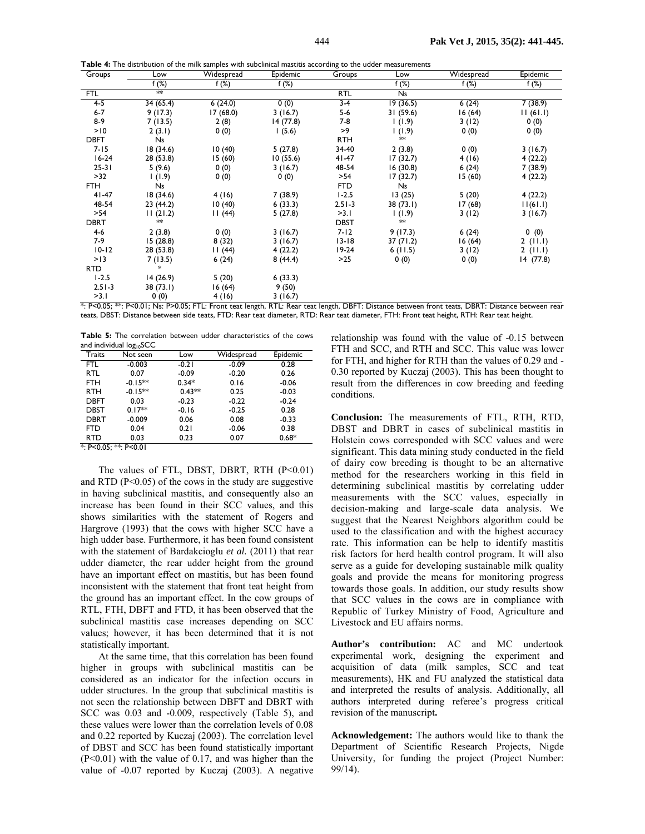**Table 4:** The distribution of the milk samples with subclinical mastitis according to the udder measurements

| Groups      | Low       | Widespread | Epidemic | Groups      | Low       | Widespread | Epidemic  |
|-------------|-----------|------------|----------|-------------|-----------|------------|-----------|
|             | f $(\%)$  | f(%)       | f $(\%)$ |             | f $(\%)$  | f $(\%)$   | f $(\%)$  |
| <b>FTL</b>  | ≸         |            |          | RTL         | Ns        |            |           |
| $4-5$       | 34(65.4)  | 6(24.0)    | 0(0)     | $3-4$       | 19 (36.5) | 6(24)      | 7(38.9)   |
| $6-7$       | 9(17.3)   | 17(68.0)   | 3(16.7)  | 5-6         | 31(59.6)  | 16(64)     | 11(61.1)  |
| $8-9$       | 7(13.5)   | 2(8)       | 14(77.8) | 7-8         | (1.9)     | 3(12)      | 0(0)      |
| >10         | 2(3.1)    | 0(0)       | 1(5.6)   | >9          | 1(1.9)    | 0(0)       | 0(0)      |
| <b>DBFT</b> | Ns        |            |          | <b>RTH</b>  | $**$      |            |           |
| $7 - 15$    | 18(34.6)  | 10(40)     | 5(27.8)  | 34-40       | 2(3.8)    | 0(0)       | 3(16.7)   |
| $16-24$     | 28 (53.8) | 15(60)     | 10(55.6) | $41 - 47$   | 17(32.7)  | 4(16)      | 4(22.2)   |
| $25 - 31$   | 5(9.6)    | 0(0)       | 3(16.7)  | 48-54       | 16(30.8)  | 6(24)      | 7(38.9)   |
| >32         | 1(1.9)    | 0(0)       | 0(0)     | >54         | 17(32.7)  | 15(60)     | 4(22.2)   |
| FTH         | <b>Ns</b> |            |          | <b>FTD</b>  | Ns        |            |           |
| $41 - 47$   | 18(34.6)  | 4(16)      | 7(38.9)  | $1 - 2.5$   | 13(25)    | 5(20)      | 4(22.2)   |
| 48-54       | 23(44.2)  | 10(40)     | 6(33.3)  | $2.51 - 3$  | 38 (73.1) | 17 (68)    | 11(61.1)  |
| >54         | 11(21.2)  | 11(44)     | 5(27.8)  | >3.1        | 1(1.9)    | 3(12)      | 3(16.7)   |
| <b>DBRT</b> | $**$      |            |          | <b>DBST</b> | **        |            |           |
| 4-6         | 2(3.8)    | 0(0)       | 3(16.7)  | $7 - 12$    | 9(17.3)   | 6(24)      | 0(0)      |
| 7-9         | 15(28.8)  | 8(32)      | 3(16.7)  | $13 - 18$   | 37(71.2)  | 16(64)     | 2(11.1)   |
| $10 - 12$   | 28 (53.8) | 11(44)     | 4(22.2)  | $19-24$     | 6(11.5)   | 3(12)      | 2(11.1)   |
| >13         | 7(13.5)   | 6(24)      | 8(44.4)  | $>25$       | 0(0)      | 0(0)       | 14 (77.8) |
| <b>RTD</b>  | $\ast$    |            |          |             |           |            |           |
| $1 - 2.5$   | 14(26.9)  | 5(20)      | 6(33.3)  |             |           |            |           |
| $2.51 - 3$  | 38(73.1)  | 16(64)     | 9(50)    |             |           |            |           |

\*: P<0.05; \*\*: P<0.01; Ns: P>0.05; FTL: Front teat length, RTL: Rear teat length, DBFT: Distance between front teats, DBRT: Distance between rear teats, DBST: Distance between side teats, FTD: Rear teat diameter, RTD: Rear teat diameter, FTH: Front teat height, RTH: Rear teat height.

**Table 5:** The correlation between udder characteristics of the cows and individual log<sub>10</sub>SCC

>3.1 0 (0) 4 (16) 3 (16.7)

|                       | ◡         |          |            |          |
|-----------------------|-----------|----------|------------|----------|
| Traits                | Not seen  | Low      | Widespread | Epidemic |
| <b>FTL</b>            | $-0.003$  | $-0.21$  | $-0.09$    | 0.28     |
| <b>RTL</b>            | 0.07      | $-0.09$  | $-0.20$    | 0.26     |
| <b>FTH</b>            | $-0.15**$ | $0.34*$  | 0.16       | $-0.06$  |
| RTH                   | $-0.15**$ | $0.43**$ | 0.25       | $-0.03$  |
| <b>DBFT</b>           | 0.03      | $-0.23$  | $-0.22$    | $-0.24$  |
| <b>DBST</b>           | $0.17**$  | $-0.16$  | $-0.25$    | 0.28     |
| <b>DBRT</b>           | $-0.009$  | 0.06     | 0.08       | $-0.33$  |
| FTD                   | 0.04      | 0.21     | $-0.06$    | 0.38     |
| <b>RTD</b>            | 0.03      | 0.23     | 0.07       | $0.68*$  |
| *: P<0.05; **: P<0.01 |           |          |            |          |

The values of FTL, DBST, DBRT, RTH (P<0.01) and RTD  $(P<0.05)$  of the cows in the study are suggestive in having subclinical mastitis, and consequently also an increase has been found in their SCC values, and this shows similarities with the statement of Rogers and Hargrove (1993) that the cows with higher SCC have a high udder base. Furthermore, it has been found consistent with the statement of Bardakcioglu *et al.* (2011) that rear udder diameter, the rear udder height from the ground have an important effect on mastitis, but has been found inconsistent with the statement that front teat height from the ground has an important effect. In the cow groups of RTL, FTH, DBFT and FTD, it has been observed that the subclinical mastitis case increases depending on SCC values; however, it has been determined that it is not statistically important.

At the same time, that this correlation has been found higher in groups with subclinical mastitis can be considered as an indicator for the infection occurs in udder structures. In the group that subclinical mastitis is not seen the relationship between DBFT and DBRT with SCC was 0.03 and -0.009, respectively (Table 5), and these values were lower than the correlation levels of 0.08 and 0.22 reported by Kuczaj (2003). The correlation level of DBST and SCC has been found statistically important  $(P<0.01)$  with the value of 0.17, and was higher than the value of -0.07 reported by Kuczaj (2003). A negative

relationship was found with the value of -0.15 between FTH and SCC, and RTH and SCC. This value was lower for FTH, and higher for RTH than the values of 0.29 and - 0.30 reported by Kuczaj (2003). This has been thought to result from the differences in cow breeding and feeding conditions.

**Conclusion:** The measurements of FTL, RTH, RTD, DBST and DBRT in cases of subclinical mastitis in Holstein cows corresponded with SCC values and were significant. This data mining study conducted in the field of dairy cow breeding is thought to be an alternative method for the researchers working in this field in determining subclinical mastitis by correlating udder measurements with the SCC values, especially in decision-making and large-scale data analysis. We suggest that the Nearest Neighbors algorithm could be used to the classification and with the highest accuracy rate. This information can be help to identify mastitis risk factors for herd health control program. It will also serve as a guide for developing sustainable milk quality goals and provide the means for monitoring progress towards those goals. In addition, our study results show that SCC values in the cows are in compliance with Republic of Turkey Ministry of Food, Agriculture and Livestock and EU affairs norms.

**Author's contribution:** AC and MC undertook experimental work, designing the experiment and acquisition of data (milk samples, SCC and teat measurements), HK and FU analyzed the statistical data and interpreted the results of analysis. Additionally, all authors interpreted during referee's progress critical revision of the manuscript**.** 

**Acknowledgement:** The authors would like to thank the Department of Scientific Research Projects, Nigde University, for funding the project (Project Number: 99/14).